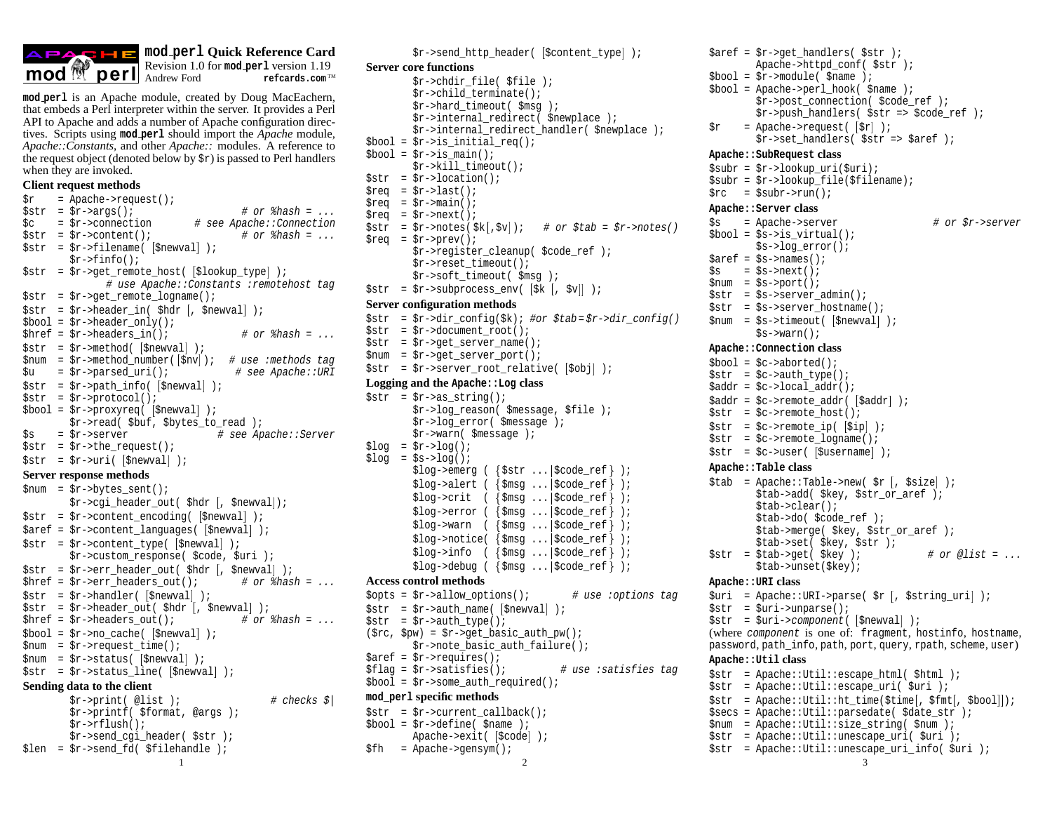

## **mod perl Quick Reference Card**

Revision 1.0 for **mod\_perl** version 1.19<br>Andrew Ford refeards.com<sup>™</sup>

**mod perl** is an Apache module, created by Doug MacEachern, that embeds a Perl interpreter within the server. It provides a Perl API to Apache and adds a number of Apache configuration directives. Scripts using **mod perl** should import the *Apache* module, *Apache::Constants*, and other *Apache::* modules. A reference to the request object (denoted below by  $\zeta r$ ) is passed to Perl handlers when they are invoked.

#### **Client request methods**

```
$r = Apache->request();
\text{Sstr} = \text{Sr-}\text{~}arg(); \text{# or } \text{~}base = ...$c = $r$-conrection # see Apache::Connection<br>$str = $r$-content(); # or $hash = ...sstr = Sr->content();
$str = $r->filename( 
$newval  );
        $r->finfo();
$str = $r->get_remote_host( 
$lookup_type  );
              # use Apache::Constants :remotehost tag
str = $r->qet_remote_logname();
\frac{1}{2} = \frac{1}{2}r->header_in( \frac{1}{2}hdr \left[, \frac{1}{2}newval] \frac{1}{2};
$bool = $r$-sheader only();$href = $r$-sheaders_in(); # or $hash = ...$str = $r$-method( $newval] );
$num = $r->method_number( 
$nv  ); # use :methods tag
\text{S}u = \text{Sr-sparsed\_uri}(); # see Apache::URI
$str = $r->path_info( 
$newval  );
str = Sr-protocol();
$bool = $r->proxyreq( 
$newval  );
        $r->read( $buf, $bytes_to_read );
$s = $r->server # see Apache::Server
str = Sr->the request();
str = \frac{5r}{vari} (\text{Snewval});
Server response methods
$num = $r->bytes_sent();
        $r->cgi_header_out( $hdr 
, $newval  );
$str = $r->content_encoding( 
$newval  );
$aref = $r->content_languages( 
$newval  );
$str = $r->content_type( 
$newval  );
        $r->custom_response( $code, $uri );
$str = $r->err_header_out( $hdr 
, $newval  );
$href = $r->err headers out(); # or $hash = ...
$str = $r$-}handler( $newval);
str = $r$-sheader_out( $hdr[, $newval];
$href = $r$-sheaders out(); # or $hash = ...$bool = $r$-}no\_cache( [$newval] );
$num = $r->request_time();
$num = $r->status( 
$newval  );
$str = $r->status_line( 
$newval  );
Sending data to the client
        $r\rightarrowprint( @list); # checks $$r->printf( $format, @args );
        $r->rflush();
        $r->send_cgi_header( $str );
```
\$len = \$r->send\_fd( \$filehandle );

```
Server core functions
           $r->chdir_file( $file );
           $r->child_terminate();
           $r->hard_timeout( $msg );
           $r->internal_redirect( $newplace );
           $r->internal_redirect_handler( $newplace );
$bool = $r$-} is initial <math>req()</math>;$bool = $r->is main();
           $r->kill_timeout();
str = Sr->location();
\text{area} = \text{Sr-}\text{last}();
$req = $r$-<math>main()</math>;\frac{1}{2} req = \frac{1}{2} r->next();
\text{Sstr} = \text{Sr->notes}(\ \text{Sk}[\ , \text{Sv}]); # or \text{Stab} = \text{Sr->notes}()\text{area} = \text{Sr-} \text{prev}();
          $r->register_cleanup( $code_ref );
           $r->reset_timeout();
          $r->soft_timeout( $msg );
\frac{1}{2} str = \frac{1}{2} = \frac{1}{2} \frac{1}{2} \frac{1}{2} \frac{1}{2} \frac{1}{2} \frac{1}{2} \frac{1}{2} \frac{1}{2} \frac{1}{2} \frac{1}{2} \frac{1}{2} \frac{1}{2} \frac{1}{2} \frac{1}{2} \frac{1}{2} \frac{1}{2} \frac{1}{2} \frac{1}{2} \frac{1}{2} \fracServer configuration methods
str = $r->dir_config($k); #or $tab=$r->dir_config()
str = Sr - 2 document root();
$str = $r->get_server_name();
$num = $r->get_server_port();
$str = $r->server_root_relative( 
$obj  );
Logging and the Apache::Log class
str = \frac{5r}{2}as string();
          $r->log_reason( $message, $file );
           $r->log_error( $message );
           $r->warn( $message );
$log = $r->log();$log = $s->log();
           \{\text{log}\text{-semerg} \ (\ \{\text{Sstr} \dots \mid \text{Scode\_ref}\ \})\}$log\text{-}valert ( $\text{*}\text{-}moder: \text{-}moder: );
           $log->crit ( {$msg ...|$code_ref} );
           $log\text{-}error ( $\text{*}\$model_ref} );
           \text{Slog-swarn} ( \{\text{\$msg ...}|\text{\$code\_code\_ref}\} );
           $log->notice( {$msg ...|$code_ref} );
           \text{Slog}\text{-}\text{sinfo} ( \{\text{Smsg} \dots \mid \text{Scode\_ref}\} );
           \text{Slog}\text{-}>debug ( \{\text{Smsg}\dots\text{Scode\_ref}\}\);
Access control methods
$opts = $r$-}allow_{{options}}(); # use :options tag
str = \frac{5r}{2} = $x->auth_name( [\frac{5}{2}newval] );
str = $r$-}\\author(\text{src}, \text{spw}) = \text{fr->qet} basic_auth_pw();
           $r->note basic auth failure();
$aref = $r->requires();
$flag = $r->satisfies(); # use :satisfies tag
$bool = $r$-some_auth\_required();
```
\$r->send\_http\_header( \$content\_type );

## **mod\_perl specific methods**

 $str = sr$ ->current callback();  $$bool = $r$$ ->define( $$name$ );

```
Apache->exit( [$code] );
$fh = Apache->gensym();
```

```
1 \overline{2} 3
```
 $\text{Saref} = \text{Sr-3}$  >qet handlers(  $\text{Sstr }$  ); Apache->httpd\_conf( \$str );

- $$bool = $r$-module( $name )$ ;
- $$bool = Apache->perl hook( 5name )$ ; \$r->post connection( \$code ref );  $$r$-push handlers( $str => $code ref )$ ;
- $\text{sr}$  = Apache->request(  $\text{sr}$  ); \$r->set handlers( \$str => \$aref );

# **Apache::SubRequest class**

|                      |  | $s_{\text{subr}} = s_{r}$ ->lookup uri( $s_{\text{uri}}$ ); |  |  |  |
|----------------------|--|-------------------------------------------------------------|--|--|--|
|                      |  | \$subr = \$r->lookup file(\$filename);                      |  |  |  |
|                      |  | $\frac{1}{2}$ rc = $\frac{1}{2}$ subr->run();               |  |  |  |
| Apache::Server class |  |                                                             |  |  |  |
| Śs.                  |  | = Apache->server                                            |  |  |  |

# or \$r->server  $$bool = $s$->is_virtual()$ ; \$s->log\_error();  $Saref = Ss-names()$ ;  $$s = $s$ ->next();  $$num = $s->port();$  $str = *5s*$ ->server  $admin()$ ; \$str = \$s->server\_hostname(); \$num = \$s->timeout( \$newval ); \$s->warn(); **Apache::Connection class**  $$bool = $c->aborted()$ ;  $$str = $c->auth_type()$ ;  $$addr = $c->local\_addr()$ ; \$addr = \$c->remote\_addr( \$addr );  $str = $c$-$ remote\_host();  $str = $c$-}$ remote\_ip( $[sip]$ ); \$str = \$c->remote\_logname();  $str = $c$-vuser( [Susername] )$ ; **Apache::Table class**  $$tab = Apache::Table->new( $r |, $size]$  ; \$tab->add( \$key, \$str or aref ); \$tab->clear(); \$tab->do( \$code\_ref ); \$tab->merge( \$key, \$str\_or\_aref ); \$tab->set( \$key, \$str );  $$str = $tab\text{-}get( $key ]$ ; # or @list = ... \$tab->unset(\$key); **Apache::URI class** \$uri = Apache::URI->parse( \$r , \$string\_uri ); \$str = \$uri->unparse(); \$str = \$uri->component( \$newval ); (where component is one of: fragment, hostinfo, hostname, password, path\_info, path, port, query, rpath, scheme, user)

#### **Apache::Util class**

- \$str = Apache::Util::escape\_html( \$html ); \$str = Apache::Util::escape\_uri( \$uri );
- $\frac{1}{5}$  = Apache::Util::ht\_time( $\frac{1}{5}$ time[,  $\frac{1}{5}$ bool]);
- $s$ secs = Apache::Util::parsedate(  $s$ date str );
- \$num = Apache::Util::size\_string( \$num );
- $str = Apache::Util::unescapeuri( Suri )$ ;
- \$str = Apache::Util::unescape\_uri\_info( \$uri );